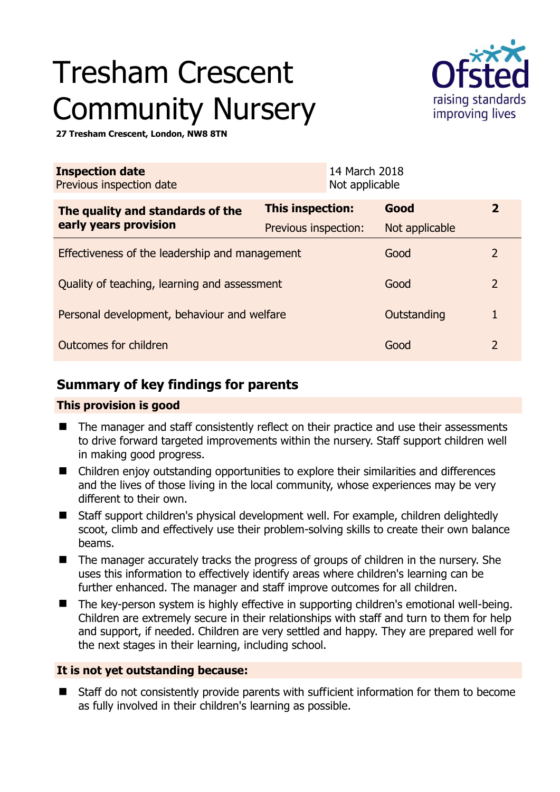# Tresham Crescent Community Nursery



**27 Tresham Crescent, London, NW8 8TN** 

| <b>Inspection date</b><br>Previous inspection date        |                      | 14 March 2018<br>Not applicable |                |                |
|-----------------------------------------------------------|----------------------|---------------------------------|----------------|----------------|
| The quality and standards of the<br>early years provision | This inspection:     |                                 | Good           | $\overline{2}$ |
|                                                           | Previous inspection: |                                 | Not applicable |                |
| Effectiveness of the leadership and management            |                      |                                 | Good           | $\overline{2}$ |
| Quality of teaching, learning and assessment              |                      |                                 | Good           | $\overline{2}$ |
| Personal development, behaviour and welfare               |                      |                                 | Outstanding    |                |
| Outcomes for children                                     |                      |                                 | Good           | $\overline{2}$ |

# **Summary of key findings for parents**

## **This provision is good**

- The manager and staff consistently reflect on their practice and use their assessments to drive forward targeted improvements within the nursery. Staff support children well in making good progress.
- Children enjoy outstanding opportunities to explore their similarities and differences and the lives of those living in the local community, whose experiences may be very different to their own.
- Staff support children's physical development well. For example, children delightedly scoot, climb and effectively use their problem-solving skills to create their own balance beams.
- The manager accurately tracks the progress of groups of children in the nursery. She uses this information to effectively identify areas where children's learning can be further enhanced. The manager and staff improve outcomes for all children.
- The key-person system is highly effective in supporting children's emotional well-being. Children are extremely secure in their relationships with staff and turn to them for help and support, if needed. Children are very settled and happy. They are prepared well for the next stages in their learning, including school.

## **It is not yet outstanding because:**

 Staff do not consistently provide parents with sufficient information for them to become as fully involved in their children's learning as possible.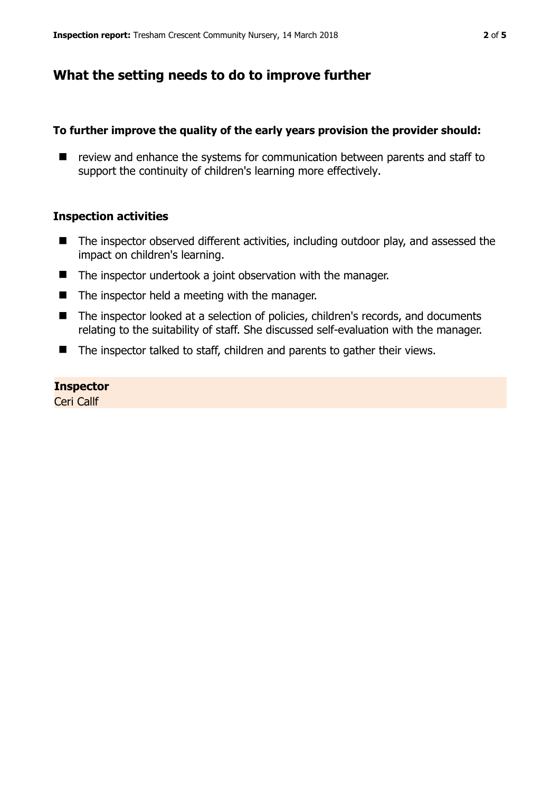## **What the setting needs to do to improve further**

#### **To further improve the quality of the early years provision the provider should:**

 $\blacksquare$  review and enhance the systems for communication between parents and staff to support the continuity of children's learning more effectively.

#### **Inspection activities**

- The inspector observed different activities, including outdoor play, and assessed the impact on children's learning.
- The inspector undertook a joint observation with the manager.
- $\blacksquare$  The inspector held a meeting with the manager.
- The inspector looked at a selection of policies, children's records, and documents relating to the suitability of staff. She discussed self-evaluation with the manager.
- The inspector talked to staff, children and parents to gather their views.

#### **Inspector**

Ceri Callf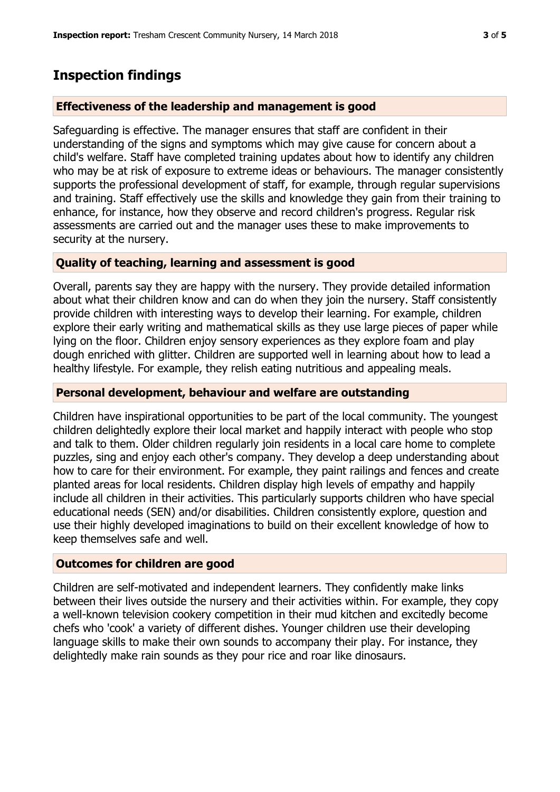## **Inspection findings**

#### **Effectiveness of the leadership and management is good**

Safeguarding is effective. The manager ensures that staff are confident in their understanding of the signs and symptoms which may give cause for concern about a child's welfare. Staff have completed training updates about how to identify any children who may be at risk of exposure to extreme ideas or behaviours. The manager consistently supports the professional development of staff, for example, through regular supervisions and training. Staff effectively use the skills and knowledge they gain from their training to enhance, for instance, how they observe and record children's progress. Regular risk assessments are carried out and the manager uses these to make improvements to security at the nursery.

#### **Quality of teaching, learning and assessment is good**

Overall, parents say they are happy with the nursery. They provide detailed information about what their children know and can do when they join the nursery. Staff consistently provide children with interesting ways to develop their learning. For example, children explore their early writing and mathematical skills as they use large pieces of paper while lying on the floor. Children enjoy sensory experiences as they explore foam and play dough enriched with glitter. Children are supported well in learning about how to lead a healthy lifestyle. For example, they relish eating nutritious and appealing meals.

#### **Personal development, behaviour and welfare are outstanding**

Children have inspirational opportunities to be part of the local community. The youngest children delightedly explore their local market and happily interact with people who stop and talk to them. Older children regularly join residents in a local care home to complete puzzles, sing and enjoy each other's company. They develop a deep understanding about how to care for their environment. For example, they paint railings and fences and create planted areas for local residents. Children display high levels of empathy and happily include all children in their activities. This particularly supports children who have special educational needs (SEN) and/or disabilities. Children consistently explore, question and use their highly developed imaginations to build on their excellent knowledge of how to keep themselves safe and well.

#### **Outcomes for children are good**

Children are self-motivated and independent learners. They confidently make links between their lives outside the nursery and their activities within. For example, they copy a well-known television cookery competition in their mud kitchen and excitedly become chefs who 'cook' a variety of different dishes. Younger children use their developing language skills to make their own sounds to accompany their play. For instance, they delightedly make rain sounds as they pour rice and roar like dinosaurs.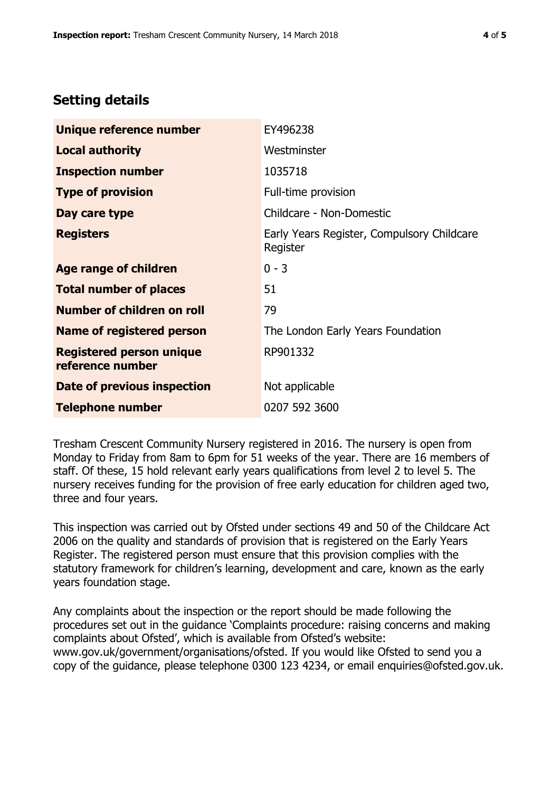## **Setting details**

| Unique reference number                             | EY496238                                               |  |  |
|-----------------------------------------------------|--------------------------------------------------------|--|--|
| <b>Local authority</b>                              | Westminster                                            |  |  |
| <b>Inspection number</b>                            | 1035718                                                |  |  |
| <b>Type of provision</b>                            | Full-time provision                                    |  |  |
| Day care type                                       | Childcare - Non-Domestic                               |  |  |
| <b>Registers</b>                                    | Early Years Register, Compulsory Childcare<br>Register |  |  |
| Age range of children                               | $0 - 3$                                                |  |  |
| <b>Total number of places</b>                       | 51                                                     |  |  |
| Number of children on roll                          | 79                                                     |  |  |
| <b>Name of registered person</b>                    | The London Early Years Foundation                      |  |  |
| <b>Registered person unique</b><br>reference number | RP901332                                               |  |  |
| Date of previous inspection                         | Not applicable                                         |  |  |
| <b>Telephone number</b>                             | 0207 592 3600                                          |  |  |

Tresham Crescent Community Nursery registered in 2016. The nursery is open from Monday to Friday from 8am to 6pm for 51 weeks of the year. There are 16 members of staff. Of these, 15 hold relevant early years qualifications from level 2 to level 5. The nursery receives funding for the provision of free early education for children aged two, three and four years.

This inspection was carried out by Ofsted under sections 49 and 50 of the Childcare Act 2006 on the quality and standards of provision that is registered on the Early Years Register. The registered person must ensure that this provision complies with the statutory framework for children's learning, development and care, known as the early years foundation stage.

Any complaints about the inspection or the report should be made following the procedures set out in the guidance 'Complaints procedure: raising concerns and making complaints about Ofsted', which is available from Ofsted's website: www.gov.uk/government/organisations/ofsted. If you would like Ofsted to send you a copy of the guidance, please telephone 0300 123 4234, or email enquiries@ofsted.gov.uk.